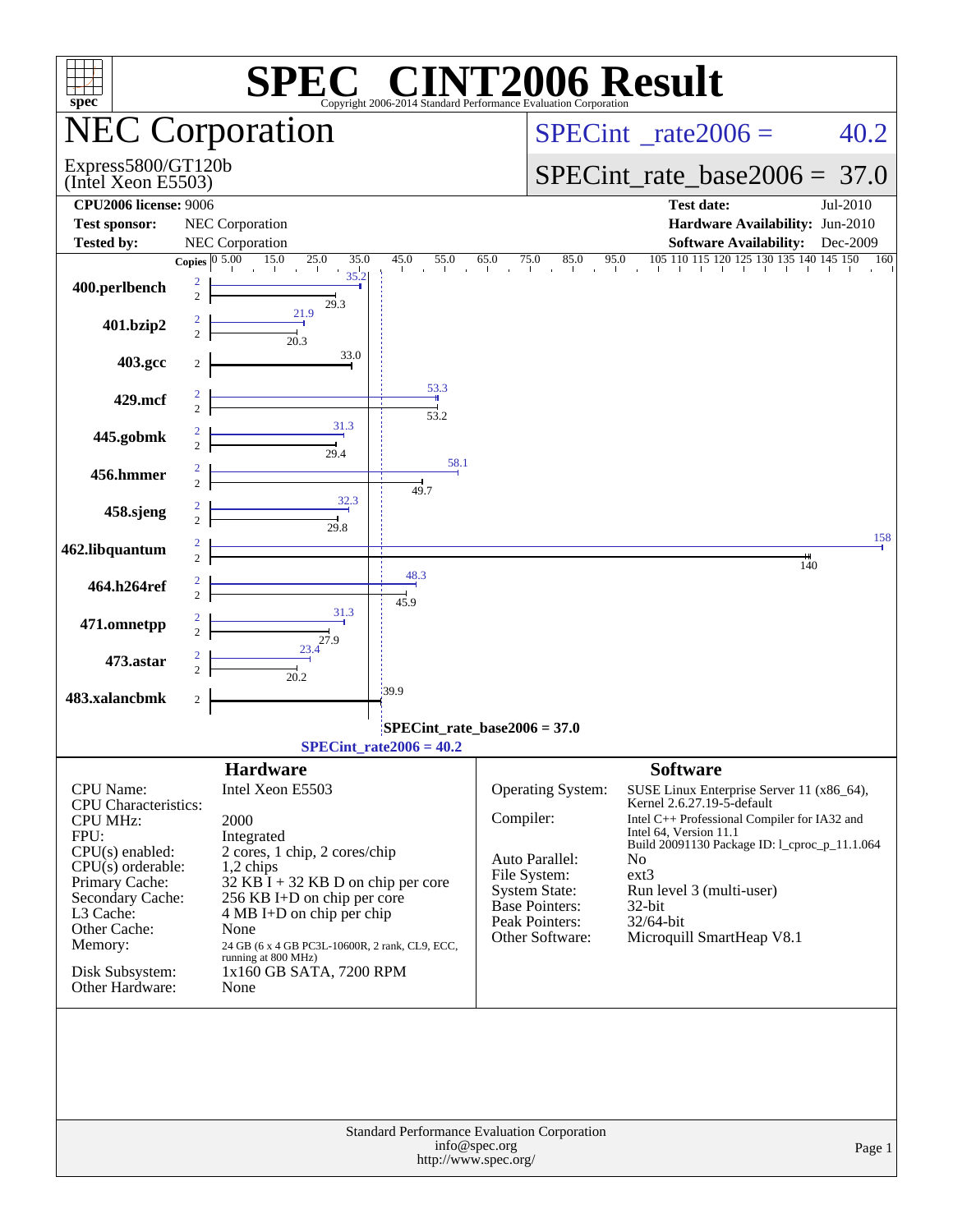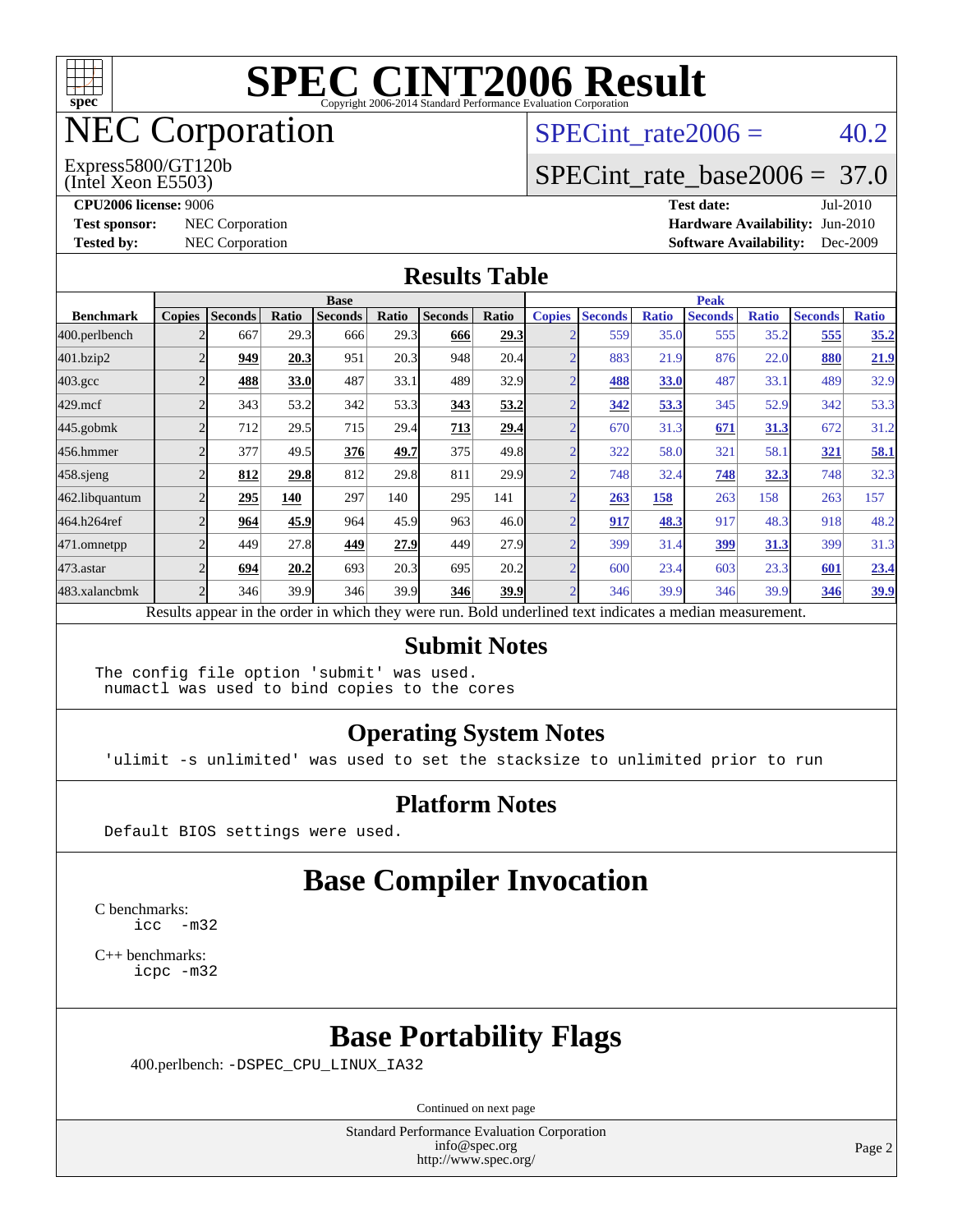

## NEC Corporation

(Intel Xeon E5503) Express5800/GT120b SPECint rate  $2006 = 40.2$ 

#### [SPECint\\_rate\\_base2006 =](http://www.spec.org/auto/cpu2006/Docs/result-fields.html#SPECintratebase2006) 37.0

**[CPU2006 license:](http://www.spec.org/auto/cpu2006/Docs/result-fields.html#CPU2006license)** 9006 **[Test date:](http://www.spec.org/auto/cpu2006/Docs/result-fields.html#Testdate)** Jul-2010 **[Test sponsor:](http://www.spec.org/auto/cpu2006/Docs/result-fields.html#Testsponsor)** NEC Corporation **[Hardware Availability:](http://www.spec.org/auto/cpu2006/Docs/result-fields.html#HardwareAvailability)** Jun-2010 **[Tested by:](http://www.spec.org/auto/cpu2006/Docs/result-fields.html#Testedby)** NEC Corporation **[Software Availability:](http://www.spec.org/auto/cpu2006/Docs/result-fields.html#SoftwareAvailability)** Dec-2009

#### **[Results Table](http://www.spec.org/auto/cpu2006/Docs/result-fields.html#ResultsTable)**

|                    | <b>Base</b>   |                |       |                                                                                                          |       |                |       | <b>Peak</b>   |                |              |                |              |                |              |
|--------------------|---------------|----------------|-------|----------------------------------------------------------------------------------------------------------|-------|----------------|-------|---------------|----------------|--------------|----------------|--------------|----------------|--------------|
| <b>Benchmark</b>   | <b>Copies</b> | <b>Seconds</b> | Ratio | <b>Seconds</b>                                                                                           | Ratio | <b>Seconds</b> | Ratio | <b>Copies</b> | <b>Seconds</b> | <b>Ratio</b> | <b>Seconds</b> | <b>Ratio</b> | <b>Seconds</b> | <b>Ratio</b> |
| 400.perlbench      |               | 667            | 29.3  | 666                                                                                                      | 29.3  | 666            | 29.3  |               | 559            | 35.0         | 555            | 35.2         | 555            | 35.2         |
| 401.bzip2          |               | 949            | 20.3  | 951                                                                                                      | 20.3  | 948            | 20.4  |               | 883            | 21.9         | 876            | 22.0         | 880            | 21.9         |
| $403.\mathrm{gcc}$ |               | 488            | 33.0  | 487                                                                                                      | 33.1  | 489            | 32.9  |               | 488            | 33.0         | 487            | 33.1         | 489            | 32.9         |
| $429$ .mcf         |               | 343            | 53.2  | 342                                                                                                      | 53.3  | 343            | 53.2  |               | 342            | 53.3         | 345            | 52.9         | 342            | 53.3         |
| $445$ .gobmk       |               | 712            | 29.5  | 715                                                                                                      | 29.4  | 713            | 29.4  |               | 670            | 31.3         | 671            | 31.3         | 672            | 31.2         |
| 456.hmmer          |               | 377            | 49.5  | 376                                                                                                      | 49.7  | 375            | 49.8  |               | 322            | 58.0         | 321            | 58.1         | 321            | 58.1         |
| $458$ .sjeng       |               | 812            | 29.8  | 812                                                                                                      | 29.8  | 811            | 29.9  |               | 748            | 32.4         | 748            | 32.3         | 748            | 32.3         |
| 462.libquantum     |               | 295            | 140   | 297                                                                                                      | 140   | 295            | 141   |               | 263            | <u>158</u>   | 263            | 158          | 263            | 157          |
| 464.h264ref        |               | 964            | 45.9  | 964                                                                                                      | 45.9  | 963            | 46.0  |               | 917            | 48.3         | 917            | 48.3         | 918            | 48.2         |
| 471.omnetpp        |               | 449            | 27.8  | 449                                                                                                      | 27.9  | 449            | 27.9  |               | 399            | 31.4         | 399            | 31.3         | 399            | 31.3         |
| $473$ . astar      |               | 694            | 20.2  | 693                                                                                                      | 20.3  | 695            | 20.2  |               | 600            | 23.4         | 603            | 23.3         | 601            | 23.4         |
| 483.xalancbmk      |               | 346            | 39.9  | 346                                                                                                      | 39.9  | 346            | 39.9  |               | 346            | 39.9         | 346            | 39.9         | 346            | <u>39.9</u>  |
|                    |               |                |       | Results appear in the order in which they were run. Bold underlined text indicates a median measurement. |       |                |       |               |                |              |                |              |                |              |

#### **[Submit Notes](http://www.spec.org/auto/cpu2006/Docs/result-fields.html#SubmitNotes)**

The config file option 'submit' was used. numactl was used to bind copies to the cores

#### **[Operating System Notes](http://www.spec.org/auto/cpu2006/Docs/result-fields.html#OperatingSystemNotes)**

'ulimit -s unlimited' was used to set the stacksize to unlimited prior to run

#### **[Platform Notes](http://www.spec.org/auto/cpu2006/Docs/result-fields.html#PlatformNotes)**

Default BIOS settings were used.

### **[Base Compiler Invocation](http://www.spec.org/auto/cpu2006/Docs/result-fields.html#BaseCompilerInvocation)**

[C benchmarks](http://www.spec.org/auto/cpu2006/Docs/result-fields.html#Cbenchmarks): [icc -m32](http://www.spec.org/cpu2006/results/res2010q3/cpu2006-20100813-12864.flags.html#user_CCbase_intel_icc_32bit_5ff4a39e364c98233615fdd38438c6f2)

[C++ benchmarks:](http://www.spec.org/auto/cpu2006/Docs/result-fields.html#CXXbenchmarks) [icpc -m32](http://www.spec.org/cpu2006/results/res2010q3/cpu2006-20100813-12864.flags.html#user_CXXbase_intel_icpc_32bit_4e5a5ef1a53fd332b3c49e69c3330699)

#### **[Base Portability Flags](http://www.spec.org/auto/cpu2006/Docs/result-fields.html#BasePortabilityFlags)**

400.perlbench: [-DSPEC\\_CPU\\_LINUX\\_IA32](http://www.spec.org/cpu2006/results/res2010q3/cpu2006-20100813-12864.flags.html#b400.perlbench_baseCPORTABILITY_DSPEC_CPU_LINUX_IA32)

Continued on next page

Standard Performance Evaluation Corporation [info@spec.org](mailto:info@spec.org) <http://www.spec.org/>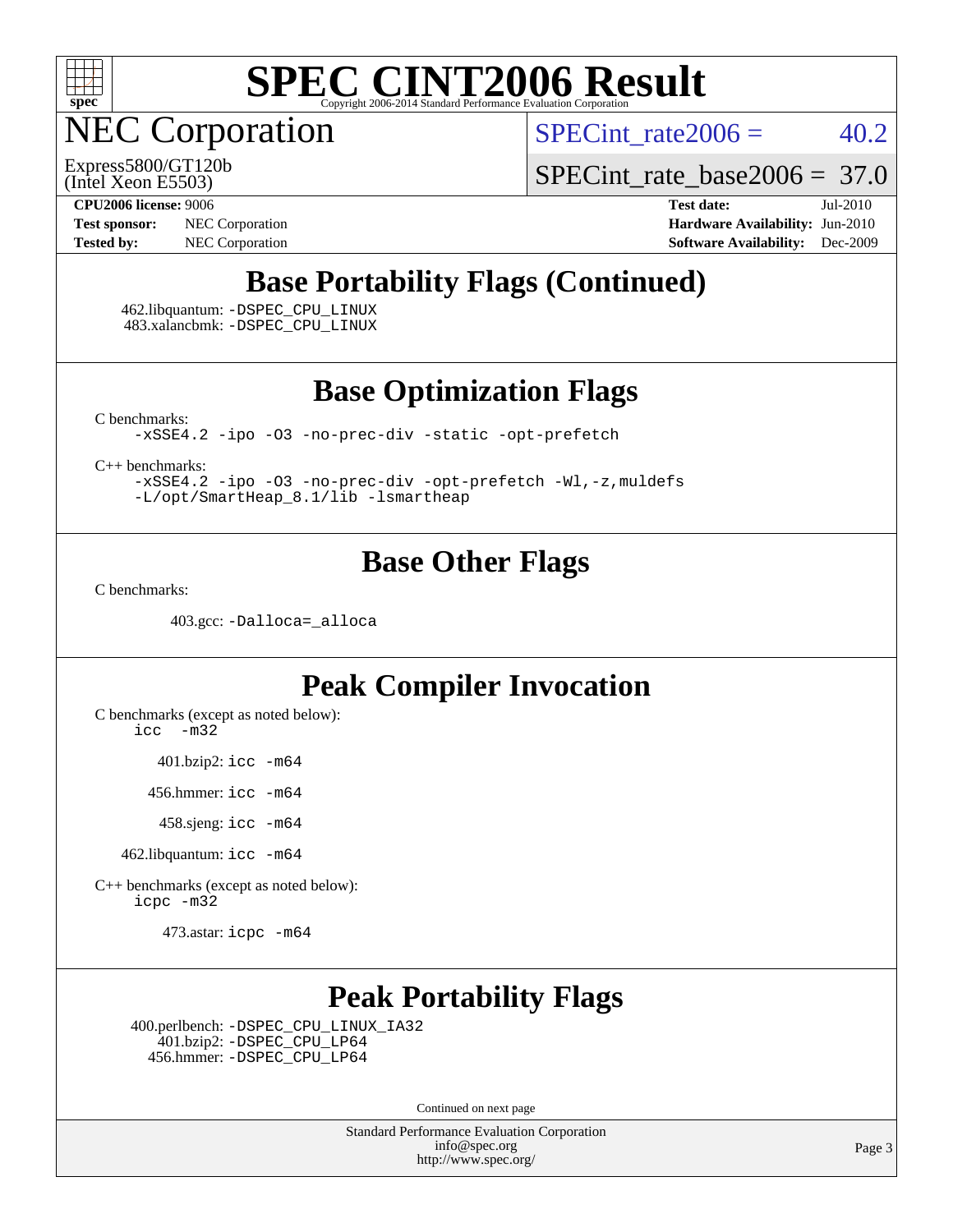

NEC Corporation

SPECint rate  $2006 = 40.2$ 

(Intel Xeon E5503) Express5800/GT120b [SPECint\\_rate\\_base2006 =](http://www.spec.org/auto/cpu2006/Docs/result-fields.html#SPECintratebase2006) 37.0

**[Test sponsor:](http://www.spec.org/auto/cpu2006/Docs/result-fields.html#Testsponsor)** NEC Corporation **[Hardware Availability:](http://www.spec.org/auto/cpu2006/Docs/result-fields.html#HardwareAvailability)** Jun-2010

**[CPU2006 license:](http://www.spec.org/auto/cpu2006/Docs/result-fields.html#CPU2006license)** 9006 **[Test date:](http://www.spec.org/auto/cpu2006/Docs/result-fields.html#Testdate)** Jul-2010 **[Tested by:](http://www.spec.org/auto/cpu2006/Docs/result-fields.html#Testedby)** NEC Corporation **[Software Availability:](http://www.spec.org/auto/cpu2006/Docs/result-fields.html#SoftwareAvailability)** Dec-2009

### **[Base Portability Flags \(Continued\)](http://www.spec.org/auto/cpu2006/Docs/result-fields.html#BasePortabilityFlags)**

 462.libquantum: [-DSPEC\\_CPU\\_LINUX](http://www.spec.org/cpu2006/results/res2010q3/cpu2006-20100813-12864.flags.html#b462.libquantum_baseCPORTABILITY_DSPEC_CPU_LINUX) 483.xalancbmk: [-DSPEC\\_CPU\\_LINUX](http://www.spec.org/cpu2006/results/res2010q3/cpu2006-20100813-12864.flags.html#b483.xalancbmk_baseCXXPORTABILITY_DSPEC_CPU_LINUX)

**[Base Optimization Flags](http://www.spec.org/auto/cpu2006/Docs/result-fields.html#BaseOptimizationFlags)**

[C benchmarks](http://www.spec.org/auto/cpu2006/Docs/result-fields.html#Cbenchmarks):

[-xSSE4.2](http://www.spec.org/cpu2006/results/res2010q3/cpu2006-20100813-12864.flags.html#user_CCbase_f-xSSE42_f91528193cf0b216347adb8b939d4107) [-ipo](http://www.spec.org/cpu2006/results/res2010q3/cpu2006-20100813-12864.flags.html#user_CCbase_f-ipo) [-O3](http://www.spec.org/cpu2006/results/res2010q3/cpu2006-20100813-12864.flags.html#user_CCbase_f-O3) [-no-prec-div](http://www.spec.org/cpu2006/results/res2010q3/cpu2006-20100813-12864.flags.html#user_CCbase_f-no-prec-div) [-static](http://www.spec.org/cpu2006/results/res2010q3/cpu2006-20100813-12864.flags.html#user_CCbase_f-static) [-opt-prefetch](http://www.spec.org/cpu2006/results/res2010q3/cpu2006-20100813-12864.flags.html#user_CCbase_f-opt-prefetch)

[C++ benchmarks:](http://www.spec.org/auto/cpu2006/Docs/result-fields.html#CXXbenchmarks)

[-xSSE4.2](http://www.spec.org/cpu2006/results/res2010q3/cpu2006-20100813-12864.flags.html#user_CXXbase_f-xSSE42_f91528193cf0b216347adb8b939d4107) [-ipo](http://www.spec.org/cpu2006/results/res2010q3/cpu2006-20100813-12864.flags.html#user_CXXbase_f-ipo) [-O3](http://www.spec.org/cpu2006/results/res2010q3/cpu2006-20100813-12864.flags.html#user_CXXbase_f-O3) [-no-prec-div](http://www.spec.org/cpu2006/results/res2010q3/cpu2006-20100813-12864.flags.html#user_CXXbase_f-no-prec-div) [-opt-prefetch](http://www.spec.org/cpu2006/results/res2010q3/cpu2006-20100813-12864.flags.html#user_CXXbase_f-opt-prefetch) [-Wl,-z,muldefs](http://www.spec.org/cpu2006/results/res2010q3/cpu2006-20100813-12864.flags.html#user_CXXbase_link_force_multiple1_74079c344b956b9658436fd1b6dd3a8a) [-L/opt/SmartHeap\\_8.1/lib -lsmartheap](http://www.spec.org/cpu2006/results/res2010q3/cpu2006-20100813-12864.flags.html#user_CXXbase_SmartHeap_d5ba4dfc9de25d3c657c7de7476e66c5)

#### **[Base Other Flags](http://www.spec.org/auto/cpu2006/Docs/result-fields.html#BaseOtherFlags)**

[C benchmarks](http://www.spec.org/auto/cpu2006/Docs/result-fields.html#Cbenchmarks):

403.gcc: [-Dalloca=\\_alloca](http://www.spec.org/cpu2006/results/res2010q3/cpu2006-20100813-12864.flags.html#b403.gcc_baseEXTRA_CFLAGS_Dalloca_be3056838c12de2578596ca5467af7f3)

### **[Peak Compiler Invocation](http://www.spec.org/auto/cpu2006/Docs/result-fields.html#PeakCompilerInvocation)**

[C benchmarks \(except as noted below\)](http://www.spec.org/auto/cpu2006/Docs/result-fields.html#Cbenchmarksexceptasnotedbelow): [icc -m32](http://www.spec.org/cpu2006/results/res2010q3/cpu2006-20100813-12864.flags.html#user_CCpeak_intel_icc_32bit_5ff4a39e364c98233615fdd38438c6f2)

401.bzip2: [icc -m64](http://www.spec.org/cpu2006/results/res2010q3/cpu2006-20100813-12864.flags.html#user_peakCCLD401_bzip2_intel_icc_64bit_bda6cc9af1fdbb0edc3795bac97ada53)

456.hmmer: [icc -m64](http://www.spec.org/cpu2006/results/res2010q3/cpu2006-20100813-12864.flags.html#user_peakCCLD456_hmmer_intel_icc_64bit_bda6cc9af1fdbb0edc3795bac97ada53)

458.sjeng: [icc -m64](http://www.spec.org/cpu2006/results/res2010q3/cpu2006-20100813-12864.flags.html#user_peakCCLD458_sjeng_intel_icc_64bit_bda6cc9af1fdbb0edc3795bac97ada53)

462.libquantum: [icc -m64](http://www.spec.org/cpu2006/results/res2010q3/cpu2006-20100813-12864.flags.html#user_peakCCLD462_libquantum_intel_icc_64bit_bda6cc9af1fdbb0edc3795bac97ada53)

[C++ benchmarks \(except as noted below\):](http://www.spec.org/auto/cpu2006/Docs/result-fields.html#CXXbenchmarksexceptasnotedbelow) [icpc -m32](http://www.spec.org/cpu2006/results/res2010q3/cpu2006-20100813-12864.flags.html#user_CXXpeak_intel_icpc_32bit_4e5a5ef1a53fd332b3c49e69c3330699)

473.astar: [icpc -m64](http://www.spec.org/cpu2006/results/res2010q3/cpu2006-20100813-12864.flags.html#user_peakCXXLD473_astar_intel_icpc_64bit_fc66a5337ce925472a5c54ad6a0de310)

### **[Peak Portability Flags](http://www.spec.org/auto/cpu2006/Docs/result-fields.html#PeakPortabilityFlags)**

 400.perlbench: [-DSPEC\\_CPU\\_LINUX\\_IA32](http://www.spec.org/cpu2006/results/res2010q3/cpu2006-20100813-12864.flags.html#b400.perlbench_peakCPORTABILITY_DSPEC_CPU_LINUX_IA32) 401.bzip2: [-DSPEC\\_CPU\\_LP64](http://www.spec.org/cpu2006/results/res2010q3/cpu2006-20100813-12864.flags.html#suite_peakCPORTABILITY401_bzip2_DSPEC_CPU_LP64) 456.hmmer: [-DSPEC\\_CPU\\_LP64](http://www.spec.org/cpu2006/results/res2010q3/cpu2006-20100813-12864.flags.html#suite_peakCPORTABILITY456_hmmer_DSPEC_CPU_LP64)

Continued on next page

Standard Performance Evaluation Corporation [info@spec.org](mailto:info@spec.org) <http://www.spec.org/>

Page 3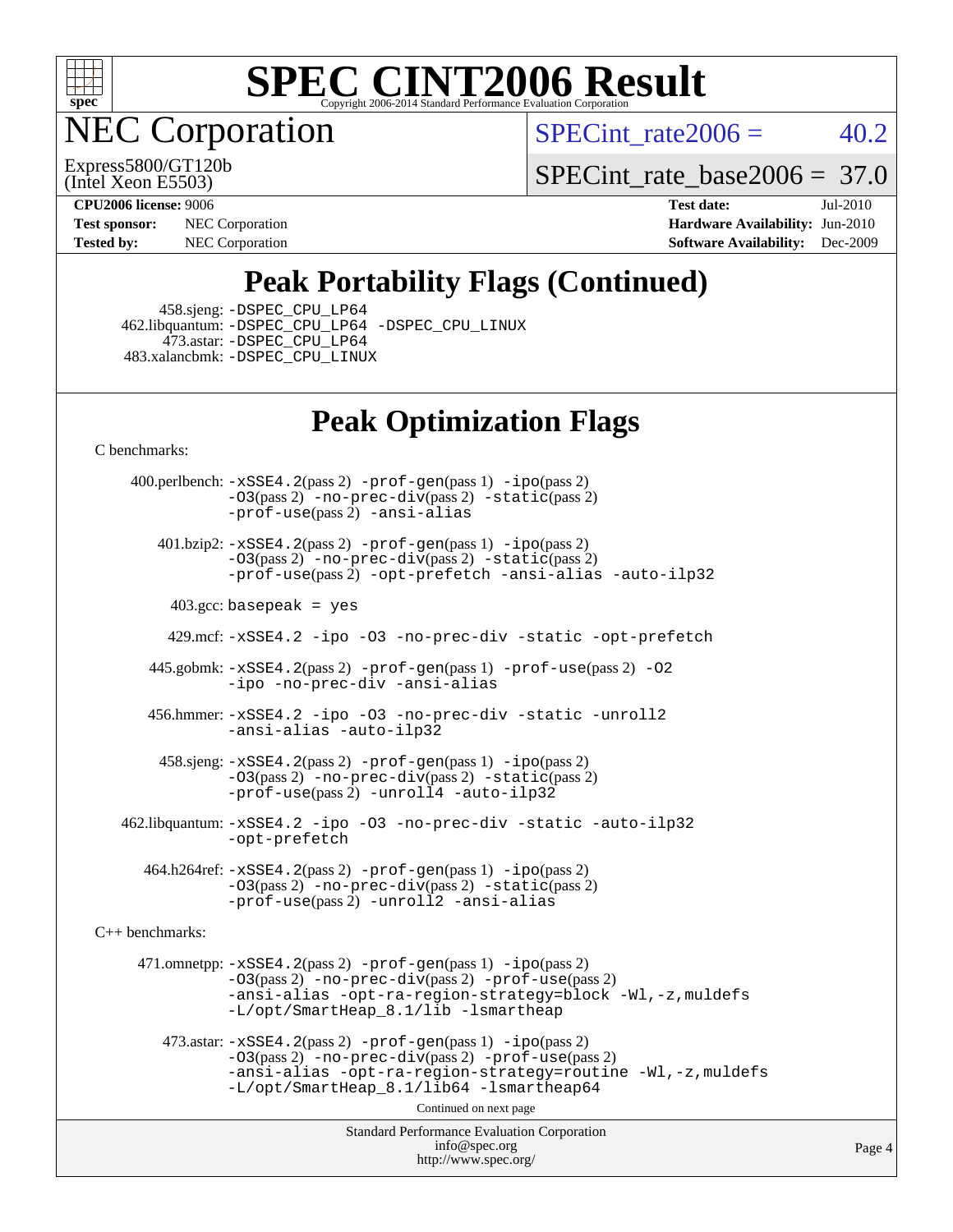

**EC Corporation** 

SPECint rate  $2006 = 40.2$ 

(Intel Xeon E5503) Express5800/GT120b

[SPECint\\_rate\\_base2006 =](http://www.spec.org/auto/cpu2006/Docs/result-fields.html#SPECintratebase2006) 37.0

**[Tested by:](http://www.spec.org/auto/cpu2006/Docs/result-fields.html#Testedby)** NEC Corporation **[Software Availability:](http://www.spec.org/auto/cpu2006/Docs/result-fields.html#SoftwareAvailability)** Dec-2009

**[CPU2006 license:](http://www.spec.org/auto/cpu2006/Docs/result-fields.html#CPU2006license)** 9006 **[Test date:](http://www.spec.org/auto/cpu2006/Docs/result-fields.html#Testdate)** Jul-2010 **[Test sponsor:](http://www.spec.org/auto/cpu2006/Docs/result-fields.html#Testsponsor)** NEC Corporation **[Hardware Availability:](http://www.spec.org/auto/cpu2006/Docs/result-fields.html#HardwareAvailability)** Jun-2010

### **[Peak Portability Flags \(Continued\)](http://www.spec.org/auto/cpu2006/Docs/result-fields.html#PeakPortabilityFlags)**

458.sjeng: [-DSPEC\\_CPU\\_LP64](http://www.spec.org/cpu2006/results/res2010q3/cpu2006-20100813-12864.flags.html#suite_peakCPORTABILITY458_sjeng_DSPEC_CPU_LP64)

 462.libquantum: [-DSPEC\\_CPU\\_LP64](http://www.spec.org/cpu2006/results/res2010q3/cpu2006-20100813-12864.flags.html#suite_peakCPORTABILITY462_libquantum_DSPEC_CPU_LP64) [-DSPEC\\_CPU\\_LINUX](http://www.spec.org/cpu2006/results/res2010q3/cpu2006-20100813-12864.flags.html#b462.libquantum_peakCPORTABILITY_DSPEC_CPU_LINUX) 473.astar: [-DSPEC\\_CPU\\_LP64](http://www.spec.org/cpu2006/results/res2010q3/cpu2006-20100813-12864.flags.html#suite_peakCXXPORTABILITY473_astar_DSPEC_CPU_LP64) 483.xalancbmk: [-DSPEC\\_CPU\\_LINUX](http://www.spec.org/cpu2006/results/res2010q3/cpu2006-20100813-12864.flags.html#b483.xalancbmk_peakCXXPORTABILITY_DSPEC_CPU_LINUX)

### **[Peak Optimization Flags](http://www.spec.org/auto/cpu2006/Docs/result-fields.html#PeakOptimizationFlags)**

[C benchmarks](http://www.spec.org/auto/cpu2006/Docs/result-fields.html#Cbenchmarks):

 400.perlbench: [-xSSE4.2](http://www.spec.org/cpu2006/results/res2010q3/cpu2006-20100813-12864.flags.html#user_peakPASS2_CFLAGSPASS2_LDCFLAGS400_perlbench_f-xSSE42_f91528193cf0b216347adb8b939d4107)(pass 2) [-prof-gen](http://www.spec.org/cpu2006/results/res2010q3/cpu2006-20100813-12864.flags.html#user_peakPASS1_CFLAGSPASS1_LDCFLAGS400_perlbench_prof_gen_e43856698f6ca7b7e442dfd80e94a8fc)(pass 1) [-ipo](http://www.spec.org/cpu2006/results/res2010q3/cpu2006-20100813-12864.flags.html#user_peakPASS2_CFLAGSPASS2_LDCFLAGS400_perlbench_f-ipo)(pass 2) [-O3](http://www.spec.org/cpu2006/results/res2010q3/cpu2006-20100813-12864.flags.html#user_peakPASS2_CFLAGSPASS2_LDCFLAGS400_perlbench_f-O3)(pass 2) [-no-prec-div](http://www.spec.org/cpu2006/results/res2010q3/cpu2006-20100813-12864.flags.html#user_peakPASS2_CFLAGSPASS2_LDCFLAGS400_perlbench_f-no-prec-div)(pass 2) [-static](http://www.spec.org/cpu2006/results/res2010q3/cpu2006-20100813-12864.flags.html#user_peakPASS2_CFLAGSPASS2_LDCFLAGS400_perlbench_f-static)(pass 2) [-prof-use](http://www.spec.org/cpu2006/results/res2010q3/cpu2006-20100813-12864.flags.html#user_peakPASS2_CFLAGSPASS2_LDCFLAGS400_perlbench_prof_use_bccf7792157ff70d64e32fe3e1250b55)(pass 2) [-ansi-alias](http://www.spec.org/cpu2006/results/res2010q3/cpu2006-20100813-12864.flags.html#user_peakCOPTIMIZE400_perlbench_f-ansi-alias)

 401.bzip2: [-xSSE4.2](http://www.spec.org/cpu2006/results/res2010q3/cpu2006-20100813-12864.flags.html#user_peakPASS2_CFLAGSPASS2_LDCFLAGS401_bzip2_f-xSSE42_f91528193cf0b216347adb8b939d4107)(pass 2) [-prof-gen](http://www.spec.org/cpu2006/results/res2010q3/cpu2006-20100813-12864.flags.html#user_peakPASS1_CFLAGSPASS1_LDCFLAGS401_bzip2_prof_gen_e43856698f6ca7b7e442dfd80e94a8fc)(pass 1) [-ipo](http://www.spec.org/cpu2006/results/res2010q3/cpu2006-20100813-12864.flags.html#user_peakPASS2_CFLAGSPASS2_LDCFLAGS401_bzip2_f-ipo)(pass 2) [-O3](http://www.spec.org/cpu2006/results/res2010q3/cpu2006-20100813-12864.flags.html#user_peakPASS2_CFLAGSPASS2_LDCFLAGS401_bzip2_f-O3)(pass 2) [-no-prec-div](http://www.spec.org/cpu2006/results/res2010q3/cpu2006-20100813-12864.flags.html#user_peakPASS2_CFLAGSPASS2_LDCFLAGS401_bzip2_f-no-prec-div)(pass 2) [-static](http://www.spec.org/cpu2006/results/res2010q3/cpu2006-20100813-12864.flags.html#user_peakPASS2_CFLAGSPASS2_LDCFLAGS401_bzip2_f-static)(pass 2) [-prof-use](http://www.spec.org/cpu2006/results/res2010q3/cpu2006-20100813-12864.flags.html#user_peakPASS2_CFLAGSPASS2_LDCFLAGS401_bzip2_prof_use_bccf7792157ff70d64e32fe3e1250b55)(pass 2) [-opt-prefetch](http://www.spec.org/cpu2006/results/res2010q3/cpu2006-20100813-12864.flags.html#user_peakCOPTIMIZE401_bzip2_f-opt-prefetch) [-ansi-alias](http://www.spec.org/cpu2006/results/res2010q3/cpu2006-20100813-12864.flags.html#user_peakCOPTIMIZE401_bzip2_f-ansi-alias) [-auto-ilp32](http://www.spec.org/cpu2006/results/res2010q3/cpu2006-20100813-12864.flags.html#user_peakCOPTIMIZE401_bzip2_f-auto-ilp32)

 $403.\text{gcc: basepeak}$  = yes

429.mcf: [-xSSE4.2](http://www.spec.org/cpu2006/results/res2010q3/cpu2006-20100813-12864.flags.html#user_peakCOPTIMIZE429_mcf_f-xSSE42_f91528193cf0b216347adb8b939d4107) [-ipo](http://www.spec.org/cpu2006/results/res2010q3/cpu2006-20100813-12864.flags.html#user_peakCOPTIMIZE429_mcf_f-ipo) [-O3](http://www.spec.org/cpu2006/results/res2010q3/cpu2006-20100813-12864.flags.html#user_peakCOPTIMIZE429_mcf_f-O3) [-no-prec-div](http://www.spec.org/cpu2006/results/res2010q3/cpu2006-20100813-12864.flags.html#user_peakCOPTIMIZE429_mcf_f-no-prec-div) [-static](http://www.spec.org/cpu2006/results/res2010q3/cpu2006-20100813-12864.flags.html#user_peakCOPTIMIZE429_mcf_f-static) [-opt-prefetch](http://www.spec.org/cpu2006/results/res2010q3/cpu2006-20100813-12864.flags.html#user_peakCOPTIMIZE429_mcf_f-opt-prefetch)

 445.gobmk: [-xSSE4.2](http://www.spec.org/cpu2006/results/res2010q3/cpu2006-20100813-12864.flags.html#user_peakPASS2_CFLAGSPASS2_LDCFLAGS445_gobmk_f-xSSE42_f91528193cf0b216347adb8b939d4107)(pass 2) [-prof-gen](http://www.spec.org/cpu2006/results/res2010q3/cpu2006-20100813-12864.flags.html#user_peakPASS1_CFLAGSPASS1_LDCFLAGS445_gobmk_prof_gen_e43856698f6ca7b7e442dfd80e94a8fc)(pass 1) [-prof-use](http://www.spec.org/cpu2006/results/res2010q3/cpu2006-20100813-12864.flags.html#user_peakPASS2_CFLAGSPASS2_LDCFLAGS445_gobmk_prof_use_bccf7792157ff70d64e32fe3e1250b55)(pass 2) [-O2](http://www.spec.org/cpu2006/results/res2010q3/cpu2006-20100813-12864.flags.html#user_peakCOPTIMIZE445_gobmk_f-O2) [-ipo](http://www.spec.org/cpu2006/results/res2010q3/cpu2006-20100813-12864.flags.html#user_peakCOPTIMIZE445_gobmk_f-ipo) [-no-prec-div](http://www.spec.org/cpu2006/results/res2010q3/cpu2006-20100813-12864.flags.html#user_peakCOPTIMIZE445_gobmk_f-no-prec-div) [-ansi-alias](http://www.spec.org/cpu2006/results/res2010q3/cpu2006-20100813-12864.flags.html#user_peakCOPTIMIZE445_gobmk_f-ansi-alias)

 456.hmmer: [-xSSE4.2](http://www.spec.org/cpu2006/results/res2010q3/cpu2006-20100813-12864.flags.html#user_peakCOPTIMIZE456_hmmer_f-xSSE42_f91528193cf0b216347adb8b939d4107) [-ipo](http://www.spec.org/cpu2006/results/res2010q3/cpu2006-20100813-12864.flags.html#user_peakCOPTIMIZE456_hmmer_f-ipo) [-O3](http://www.spec.org/cpu2006/results/res2010q3/cpu2006-20100813-12864.flags.html#user_peakCOPTIMIZE456_hmmer_f-O3) [-no-prec-div](http://www.spec.org/cpu2006/results/res2010q3/cpu2006-20100813-12864.flags.html#user_peakCOPTIMIZE456_hmmer_f-no-prec-div) [-static](http://www.spec.org/cpu2006/results/res2010q3/cpu2006-20100813-12864.flags.html#user_peakCOPTIMIZE456_hmmer_f-static) [-unroll2](http://www.spec.org/cpu2006/results/res2010q3/cpu2006-20100813-12864.flags.html#user_peakCOPTIMIZE456_hmmer_f-unroll_784dae83bebfb236979b41d2422d7ec2) [-ansi-alias](http://www.spec.org/cpu2006/results/res2010q3/cpu2006-20100813-12864.flags.html#user_peakCOPTIMIZE456_hmmer_f-ansi-alias) [-auto-ilp32](http://www.spec.org/cpu2006/results/res2010q3/cpu2006-20100813-12864.flags.html#user_peakCOPTIMIZE456_hmmer_f-auto-ilp32)

 458.sjeng: [-xSSE4.2](http://www.spec.org/cpu2006/results/res2010q3/cpu2006-20100813-12864.flags.html#user_peakPASS2_CFLAGSPASS2_LDCFLAGS458_sjeng_f-xSSE42_f91528193cf0b216347adb8b939d4107)(pass 2) [-prof-gen](http://www.spec.org/cpu2006/results/res2010q3/cpu2006-20100813-12864.flags.html#user_peakPASS1_CFLAGSPASS1_LDCFLAGS458_sjeng_prof_gen_e43856698f6ca7b7e442dfd80e94a8fc)(pass 1) [-ipo](http://www.spec.org/cpu2006/results/res2010q3/cpu2006-20100813-12864.flags.html#user_peakPASS2_CFLAGSPASS2_LDCFLAGS458_sjeng_f-ipo)(pass 2) [-O3](http://www.spec.org/cpu2006/results/res2010q3/cpu2006-20100813-12864.flags.html#user_peakPASS2_CFLAGSPASS2_LDCFLAGS458_sjeng_f-O3)(pass 2) [-no-prec-div](http://www.spec.org/cpu2006/results/res2010q3/cpu2006-20100813-12864.flags.html#user_peakPASS2_CFLAGSPASS2_LDCFLAGS458_sjeng_f-no-prec-div)(pass 2) [-static](http://www.spec.org/cpu2006/results/res2010q3/cpu2006-20100813-12864.flags.html#user_peakPASS2_CFLAGSPASS2_LDCFLAGS458_sjeng_f-static)(pass 2)  $-prof-use(pass 2) -unroll4 -auto-ilp32$  $-prof-use(pass 2) -unroll4 -auto-ilp32$  $-prof-use(pass 2) -unroll4 -auto-ilp32$  $-prof-use(pass 2) -unroll4 -auto-ilp32$  $-prof-use(pass 2) -unroll4 -auto-ilp32$ 

 462.libquantum: [-xSSE4.2](http://www.spec.org/cpu2006/results/res2010q3/cpu2006-20100813-12864.flags.html#user_peakCOPTIMIZE462_libquantum_f-xSSE42_f91528193cf0b216347adb8b939d4107) [-ipo](http://www.spec.org/cpu2006/results/res2010q3/cpu2006-20100813-12864.flags.html#user_peakCOPTIMIZE462_libquantum_f-ipo) [-O3](http://www.spec.org/cpu2006/results/res2010q3/cpu2006-20100813-12864.flags.html#user_peakCOPTIMIZE462_libquantum_f-O3) [-no-prec-div](http://www.spec.org/cpu2006/results/res2010q3/cpu2006-20100813-12864.flags.html#user_peakCOPTIMIZE462_libquantum_f-no-prec-div) [-static](http://www.spec.org/cpu2006/results/res2010q3/cpu2006-20100813-12864.flags.html#user_peakCOPTIMIZE462_libquantum_f-static) [-auto-ilp32](http://www.spec.org/cpu2006/results/res2010q3/cpu2006-20100813-12864.flags.html#user_peakCOPTIMIZE462_libquantum_f-auto-ilp32) [-opt-prefetch](http://www.spec.org/cpu2006/results/res2010q3/cpu2006-20100813-12864.flags.html#user_peakCOPTIMIZE462_libquantum_f-opt-prefetch)

 464.h264ref: [-xSSE4.2](http://www.spec.org/cpu2006/results/res2010q3/cpu2006-20100813-12864.flags.html#user_peakPASS2_CFLAGSPASS2_LDCFLAGS464_h264ref_f-xSSE42_f91528193cf0b216347adb8b939d4107)(pass 2) [-prof-gen](http://www.spec.org/cpu2006/results/res2010q3/cpu2006-20100813-12864.flags.html#user_peakPASS1_CFLAGSPASS1_LDCFLAGS464_h264ref_prof_gen_e43856698f6ca7b7e442dfd80e94a8fc)(pass 1) [-ipo](http://www.spec.org/cpu2006/results/res2010q3/cpu2006-20100813-12864.flags.html#user_peakPASS2_CFLAGSPASS2_LDCFLAGS464_h264ref_f-ipo)(pass 2) [-O3](http://www.spec.org/cpu2006/results/res2010q3/cpu2006-20100813-12864.flags.html#user_peakPASS2_CFLAGSPASS2_LDCFLAGS464_h264ref_f-O3)(pass 2) [-no-prec-div](http://www.spec.org/cpu2006/results/res2010q3/cpu2006-20100813-12864.flags.html#user_peakPASS2_CFLAGSPASS2_LDCFLAGS464_h264ref_f-no-prec-div)(pass 2) [-static](http://www.spec.org/cpu2006/results/res2010q3/cpu2006-20100813-12864.flags.html#user_peakPASS2_CFLAGSPASS2_LDCFLAGS464_h264ref_f-static)(pass 2) [-prof-use](http://www.spec.org/cpu2006/results/res2010q3/cpu2006-20100813-12864.flags.html#user_peakPASS2_CFLAGSPASS2_LDCFLAGS464_h264ref_prof_use_bccf7792157ff70d64e32fe3e1250b55)(pass 2) [-unroll2](http://www.spec.org/cpu2006/results/res2010q3/cpu2006-20100813-12864.flags.html#user_peakCOPTIMIZE464_h264ref_f-unroll_784dae83bebfb236979b41d2422d7ec2) [-ansi-alias](http://www.spec.org/cpu2006/results/res2010q3/cpu2006-20100813-12864.flags.html#user_peakCOPTIMIZE464_h264ref_f-ansi-alias)

[C++ benchmarks:](http://www.spec.org/auto/cpu2006/Docs/result-fields.html#CXXbenchmarks)

 471.omnetpp: [-xSSE4.2](http://www.spec.org/cpu2006/results/res2010q3/cpu2006-20100813-12864.flags.html#user_peakPASS2_CXXFLAGSPASS2_LDCXXFLAGS471_omnetpp_f-xSSE42_f91528193cf0b216347adb8b939d4107)(pass 2) [-prof-gen](http://www.spec.org/cpu2006/results/res2010q3/cpu2006-20100813-12864.flags.html#user_peakPASS1_CXXFLAGSPASS1_LDCXXFLAGS471_omnetpp_prof_gen_e43856698f6ca7b7e442dfd80e94a8fc)(pass 1) [-ipo](http://www.spec.org/cpu2006/results/res2010q3/cpu2006-20100813-12864.flags.html#user_peakPASS2_CXXFLAGSPASS2_LDCXXFLAGS471_omnetpp_f-ipo)(pass 2) [-O3](http://www.spec.org/cpu2006/results/res2010q3/cpu2006-20100813-12864.flags.html#user_peakPASS2_CXXFLAGSPASS2_LDCXXFLAGS471_omnetpp_f-O3)(pass 2) [-no-prec-div](http://www.spec.org/cpu2006/results/res2010q3/cpu2006-20100813-12864.flags.html#user_peakPASS2_CXXFLAGSPASS2_LDCXXFLAGS471_omnetpp_f-no-prec-div)(pass 2) [-prof-use](http://www.spec.org/cpu2006/results/res2010q3/cpu2006-20100813-12864.flags.html#user_peakPASS2_CXXFLAGSPASS2_LDCXXFLAGS471_omnetpp_prof_use_bccf7792157ff70d64e32fe3e1250b55)(pass 2) [-ansi-alias](http://www.spec.org/cpu2006/results/res2010q3/cpu2006-20100813-12864.flags.html#user_peakCXXOPTIMIZE471_omnetpp_f-ansi-alias) [-opt-ra-region-strategy=block](http://www.spec.org/cpu2006/results/res2010q3/cpu2006-20100813-12864.flags.html#user_peakCXXOPTIMIZE471_omnetpp_f-opt-ra-region-strategy-block_a0a37c372d03933b2a18d4af463c1f69) [-Wl,-z,muldefs](http://www.spec.org/cpu2006/results/res2010q3/cpu2006-20100813-12864.flags.html#user_peakEXTRA_LDFLAGS471_omnetpp_link_force_multiple1_74079c344b956b9658436fd1b6dd3a8a) [-L/opt/SmartHeap\\_8.1/lib -lsmartheap](http://www.spec.org/cpu2006/results/res2010q3/cpu2006-20100813-12864.flags.html#user_peakEXTRA_LIBS471_omnetpp_SmartHeap_d5ba4dfc9de25d3c657c7de7476e66c5)

 473.astar: [-xSSE4.2](http://www.spec.org/cpu2006/results/res2010q3/cpu2006-20100813-12864.flags.html#user_peakPASS2_CXXFLAGSPASS2_LDCXXFLAGS473_astar_f-xSSE42_f91528193cf0b216347adb8b939d4107)(pass 2) [-prof-gen](http://www.spec.org/cpu2006/results/res2010q3/cpu2006-20100813-12864.flags.html#user_peakPASS1_CXXFLAGSPASS1_LDCXXFLAGS473_astar_prof_gen_e43856698f6ca7b7e442dfd80e94a8fc)(pass 1) [-ipo](http://www.spec.org/cpu2006/results/res2010q3/cpu2006-20100813-12864.flags.html#user_peakPASS2_CXXFLAGSPASS2_LDCXXFLAGS473_astar_f-ipo)(pass 2) [-O3](http://www.spec.org/cpu2006/results/res2010q3/cpu2006-20100813-12864.flags.html#user_peakPASS2_CXXFLAGSPASS2_LDCXXFLAGS473_astar_f-O3)(pass 2) [-no-prec-div](http://www.spec.org/cpu2006/results/res2010q3/cpu2006-20100813-12864.flags.html#user_peakPASS2_CXXFLAGSPASS2_LDCXXFLAGS473_astar_f-no-prec-div)(pass 2) [-prof-use](http://www.spec.org/cpu2006/results/res2010q3/cpu2006-20100813-12864.flags.html#user_peakPASS2_CXXFLAGSPASS2_LDCXXFLAGS473_astar_prof_use_bccf7792157ff70d64e32fe3e1250b55)(pass 2) [-ansi-alias](http://www.spec.org/cpu2006/results/res2010q3/cpu2006-20100813-12864.flags.html#user_peakCXXOPTIMIZE473_astar_f-ansi-alias) [-opt-ra-region-strategy=routine](http://www.spec.org/cpu2006/results/res2010q3/cpu2006-20100813-12864.flags.html#user_peakCXXOPTIMIZE473_astar_f-opt-ra-region-strategy-routine_ba086ea3b1d46a52e1238e2ca173ed44) [-Wl,-z,muldefs](http://www.spec.org/cpu2006/results/res2010q3/cpu2006-20100813-12864.flags.html#user_peakEXTRA_LDFLAGS473_astar_link_force_multiple1_74079c344b956b9658436fd1b6dd3a8a) [-L/opt/SmartHeap\\_8.1/lib64 -lsmartheap64](http://www.spec.org/cpu2006/results/res2010q3/cpu2006-20100813-12864.flags.html#user_peakEXTRA_LIBS473_astar_SmartHeap64_7ff9c3d8ca51c2767359d6aa2f519d77)

Continued on next page

Standard Performance Evaluation Corporation [info@spec.org](mailto:info@spec.org) <http://www.spec.org/>

Page 4